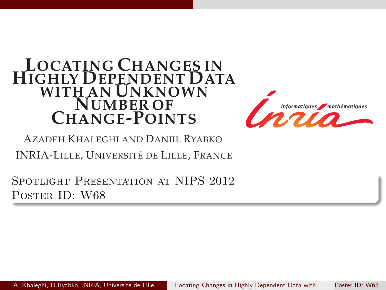### **LOCATING CHANGES IN HIGHLY DEPENDENT DATA WITH AN UNKNOWN NUMBER OF CHANGE-POINTS**



AZADEH KHALEGHI AND DANIIL RYABKO

INRIA-LILLE, UNIVERSITÉ DE LILLE, FRANCE

SPOTLIGHT PRESENTATION AT NIPS 2012 POSTER ID: W68

A. Khaleghi, D.Ryabko, INRIA, Université de Lille Locating Changes in Highly Dependent Data with ... Poster ID: W68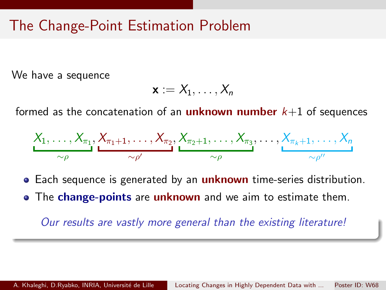## The Change-Point Estimation Problem

We have a sequence

$$
\mathbf{x}:=X_1,\ldots,X_n
$$

formed as the concatenation of an **unknown number**  $k+1$  of sequences

$$
\underbrace{X_1,\ldots,X_{\pi_1}}_{\sim\rho},\underbrace{X_{\pi_1+1},\ldots,X_{\pi_2}}_{\sim\rho'},\underbrace{X_{\pi_2+1},\ldots,X_{\pi_3}}_{\sim\rho},\ldots,\underbrace{X_{\pi_k+1},\ldots,X_{\pi_k}}_{\sim\rho''}
$$

- Each sequence is generated by an **unknown** time-series distribution.
- **The change-points** are **unknown** and we aim to estimate them.

Our results are vastly more general than the existing literature!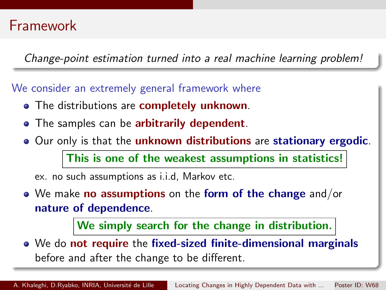### Framework

Change-point estimation turned into a real machine learning problem!

We consider an extremely general framework where

- The distributions are **completely unknown**.
- The samples can be arbitrarily dependent.
- Our only is that the **unknown distributions** are **stationary ergodic**.

This is one of the weakest assumptions in statistics!

ex. no such assumptions as i.i.d, Markov etc.

• We make **no assumptions** on the **form of the change** and/or nature of dependence.

We simply search for the change in distribution.

We do not require the fixed-sized finite-dimensional marginals before and after the change to be different.